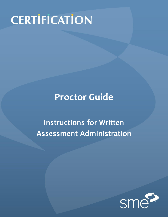# CERTIFICATION

# **Proctor Guide**

Instructions for Written Assessment Administration

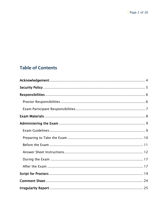# **Table of Contents**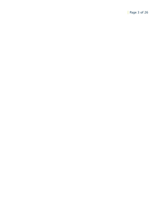# | Page 3 of 26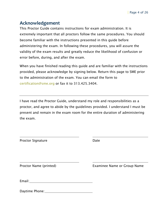# <span id="page-3-0"></span>**Acknowledgement**

This Proctor Guide contains instructions for exam administration. It is extremely important that all proctors follow the same procedures. You should become familiar with the instructions presented in this guide before administering the exam. In following these procedures, you will assure the validity of the exam results and greatly reduce the likelihood of confusion or error before, during, and after the exam.

When you have finished reading this guide and are familiar with the instructions provided, please acknowledge by signing below. Return this page to SME prior to the administration of the exam. You can email the form to [certification@sme.org](mailto:certification@sme.org) or fax it to 313.425.3404.

I have read the Proctor Guide, understand my role and responsibilities as a proctor, and agree to abide by the guidelines provided. I understand I must be present and remain in the exam room for the entire duration of administering the exam.

| <b>Proctor Signature</b> | Date                               |  |  |
|--------------------------|------------------------------------|--|--|
| Proctor Name (printed)   | <b>Examinee Name or Group Name</b> |  |  |
|                          |                                    |  |  |
| Daytime Phone:           |                                    |  |  |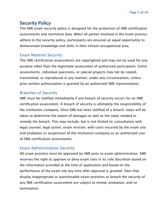# <span id="page-4-0"></span>**Security Policy**

The SME exam security policy is designed for the protection of SME certification assessments and normative data. When all parties involved in the exam process adhere to the security policy, participants are ensured an equal opportunity to demonstrate knowledge and skills in their chosen occupational area.

# Exam Material Security

The SME certification assessments are copyrighted and may not be used for any purpose other than the legitimate assessment of authorized participants. Entire assessments, individual questions, or special projects may not be copied, transmitted, or reproduced in any manner, under any circumstances, unless prior written authorization is granted by an authorized SME representative.

# Breaches of Security

SME must be notified immediately if any breach of security occurs for an SME certification assessment. A breach of security is ultimately the responsibility of the institution/company. Once SME has been notified of a breach, steps will be taken to determine the extent of damages as well as the steps needed to remedy the breach. This may include, but is not limited to, consultation with legal counsel, legal action, exam revision, with costs incurred by the exam site, and probation or suspension of the institution/company as an authorized user of SME certification assessments.

# Exam Administration Security

All exam proctors must be approved by SME prior to exam administration. SME reserves the right to approve or deny exam sites in its sole discretion based on the information provided at the time of application and based on the performance of the exam site any time after approval is granted. Sites that display inappropriate or questionable exam practices or breach the security of any SME certification assessment are subject to review, probation, and/or termination.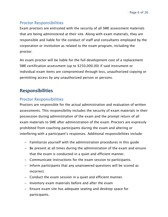# Proctor Responsibilities

Exam proctors are entrusted with the security of all SME assessment materials that are being administered at their site. Along with exam materials, they are responsible and liable for the conduct of staff and consultants employed by the corporation or institution as related to the exam program, including the proctor.

An exam proctor will be liable for the full development cost of a replacement SME certification assessment (up to \$250,000.00) if said instrument or individual exam items are compromised through loss, unauthorized copying or permitting access by any unauthorized person or persons.

# <span id="page-5-0"></span>**Responsibilities**

# <span id="page-5-1"></span>Proctor Responsibilities

Proctors are responsible for the actual administration and evaluation of written assessments. This responsibility includes the security of exam materials in their possession during administration of the exam and the prompt return of all exam materials to SME after administration of the exam. Proctors are expressly prohibited from coaching participants during the exam and altering or interfering with a participant's responses. Additional responsibilities include:

- Familiarize yourself with the administration procedures in this guide
- Be present at all times during the administration of the exam and ensure that the exam is conducted in a quiet and efficient manner.
- Communicate instructions for the exam session to participants.
- Inform participants that any unanswered questions will be scored as incorrect.
- Conduct the exam session in a quiet and efficient manner.
- Inventory exam materials before and after the exam
- Ensure exam site has adequate seating and desktop space for participants.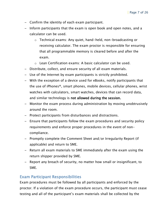- Confirm the identity of each exam participant.
- Inform participants that the exam is open book and open notes, and a calculator can be used.
	- o Technical exams: Any quiet, hand-held, non-broadcasting or receiving calculator. The exam proctor is responsible for ensuring that all programmable memory is cleared before and after the exam.
	- o Lean Certification exams: A basic calculator can be used.
- Distribute, collect, and ensure security of all exam materials.
- Use of the Internet by exam participants is strictly prohibited.
- With the exception of a device used for eBooks, notify participants that the use of iPhones®, smart phones, mobile devices, cellular phones, wrist watches with calculators, smart watches, devices that can record data, and similar technology is not allowed during the session.
- Monitor the exam process during administration by moving unobtrusively around the room.
- Protect participants from disturbances and distractions.
- Ensure that participants follow the exam procedures and security policy requirements and enforce proper procedures in the event of noncompliance.
- Promptly complete the Comment Sheet and/or Irregularity Report (if applicable) and return to SME.
- Return all exam materials to SME immediately after the exam using the return shipper provided by SME.
- Report any breach of security, no matter how small or insignificant, to SME.

#### <span id="page-6-0"></span>Exam Participant Responsibilities

Exam procedures must be followed by all participants and enforced by the proctor. If a violation of the exam procedure occurs, the participant must cease testing and all of the participant's exam materials shall be collected by the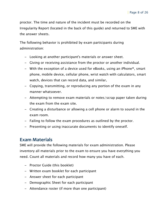proctor. The time and nature of the incident must be recorded on the Irregularity Report (located in the back of this guide) and returned to SME with the answer sheets.

The following behavior is prohibited by exam participants during administration:

- Looking at another participant's materials or answer sheet.
- Giving or receiving assistance from the proctor or another individual.
- With the exception of a device used for eBooks, using an iPhone<sup>®</sup>, smart phone, mobile device, cellular phone, wrist watch with calculators, smart watch, devices that can record data, and similar.
- Copying, transmitting, or reproducing any portion of the exam in any manner whatsoever.
- Attempting to remove exam materials or notes/scrap paper taken during the exam from the exam site.
- Creating a disturbance or allowing a cell phone or alarm to sound in the exam room.
- Failing to follow the exam procedures as outlined by the proctor.
- Presenting or using inaccurate documents to identify oneself.

# <span id="page-7-0"></span>**Exam Materials**

SME will provide the following materials for exam administration. Please inventory all materials prior to the exam to ensure you have everything you need. Count all materials and record how many you have of each.

- Proctor Guide (this booklet)
- Written exam booklet for each participant
- Answer sheet for each participant
- Demographic Sheet for each participant
- Attendance roster (if more than one participant)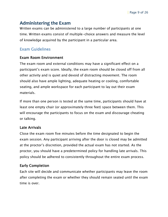# <span id="page-8-0"></span>**Administering the Exam**

Written exams can be administered to a large number of participants at one time. Written exams consist of multiple-choice answers and measure the level of knowledge acquired by the participant in a particular area.

# <span id="page-8-1"></span>Exam Guidelines

#### Exam Room Environment

The exam room and external conditions may have a significant effect on a participant's exam score. Ideally, the exam room should be closed off from all other activity and is quiet and devoid of distracting movement. The room should also have ample lighting, adequate heating or cooling, comfortable seating, and ample workspace for each participant to lay out their exam materials.

If more than one person is tested at the same time, participants should have at least one empty chair (or approximately three feet) space between them. This will encourage the participants to focus on the exam and discourage cheating or talking.

#### Late Arrivals

Close the exam room five minutes before the time designated to begin the exam session. Any participant arriving after the door is closed may be admitted at the proctor's discretion, provided the actual exam has not started. As the proctor, you should have a predetermined policy for handling late arrivals. This policy should be adhered to consistently throughout the entire exam process.

## Early Completion

Each site will decide and communicate whether participants may leave the room after completing the exam or whether they should remain seated until the exam time is over.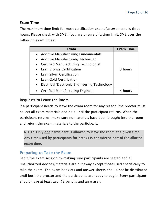#### Exam Time

The maximum time limit for most certification exams/assessments is three hours. Please check with SME if you are unsure of a time limit. SME uses the following exam times:

| <b>Fxam</b>                                    | Exam Time |
|------------------------------------------------|-----------|
| • Additive Manufacturing Fundamentals          |           |
| • Additive Manufacturing Technician            |           |
| • Certified Manufacturing Technologist         |           |
| Lean Bronze Certification                      | 3 hours   |
| <b>Lean Silver Certification</b>               |           |
| Lean Gold Certification                        |           |
| • Electrical/Electronic Engineering Technology |           |
| • Certified Manufacturing Engineer             | 4 hours   |

#### Requests to Leave the Room

If a participant needs to leave the exam room for any reason, the proctor must collect all exam materials and hold until the participant returns. When the participant returns, make sure no materials have been brought into the room and return the exam materials to the participant.

NOTE: Only one participant is allowed to leave the room at a given time. Any time used by participants for breaks is considered part of the allotted exam time.

# <span id="page-9-0"></span>Preparing to Take the Exam

Begin the exam session by making sure participants are seated and all unauthorized devices/materials are put away except those used specifically to take the exam. The exam booklets and answer sheets should not be distributed until both the proctor and the participants are ready to begin. Every participant should have at least two, #2 pencils and an eraser.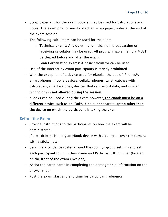- Scrap paper and/or the exam booklet may be used for calculations and notes. The exam proctor must collect all scrap paper/notes at the end of the exam session.
- The following calculators can be used for the exam:
	- o Technical exams: Any quiet, hand-held, non-broadcasting or receiving calculator may be used. All programmable memory MUST be cleared before and after the exam.
	- $\circ$  Lean Certification exams: A basic calculator can be used.
- Use of the Internet by exam participants is strictly prohibited.
- With the exception of a device used for eBooks, the use of iPhones®, smart phones, mobile devices, cellular phones, wrist watches with calculators, smart watches, devices that can record data, and similar technology is not allowed during the session.
- <span id="page-10-0"></span>– eBooks can be used during the exam however, the eBook must be on a different device such as an iPad®, Kindle, or separate laptop other than the device on which the participant is taking the exam.

#### Before the Exam

- Provide instructions to the participants on how the exam will be administered.
- If a participant is using an eBook device with a camera, cover the camera with a sticky note.
- Send the attendance roster around the room (if group setting) and ask each participant to fill in their name and Participant ID number (located on the front of the exam envelope).
- Assist the participants in completing the demographic information on the answer sheet.
- Post the exam start and end time for participant reference.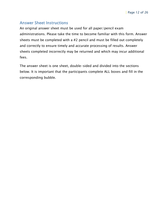# <span id="page-11-0"></span>Answer Sheet Instructions

An original answer sheet must be used for all paper/pencil exam administrations. Please take the time to become familiar with this form. Answer sheets must be completed with a #2 pencil and must be filled out completely and correctly to ensure timely and accurate processing of results. Answer sheets completed incorrectly may be returned and which may incur additional fees.

The answer sheet is one sheet, double-sided and divided into the sections below. It is important that the participants complete ALL boxes and fill in the corresponding bubble.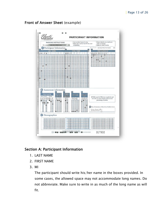#### Front of Answer Sheet (example)



#### Section A: Participant Information

- 1. LAST NAME
- 2. FIRST NAME
- 3. MI

The participant should write his/her name in the boxes provided. In some cases, the allowed space may not accommodate long names. Do not abbreviate. Make sure to write in as much of the long name as will fit.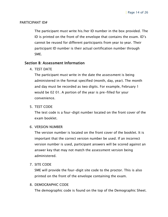#### PARTICIPANT ID#

The participant must write his/her ID number in the box provided. The ID is printed on the front of the envelope that contains the exam. ID's cannot be reused for different participants from year to year. Their participant ID number is their actual certification number through SME.

#### Section B: Assessment Information

4. TEST DATE

The participant must write in the date the assessment is being administered in the format specified (month, day, year). The month and day must be recorded as two digits. For example, February 1 would be 02 01. A portion of the year is pre-filled for your convenience.

#### 5. TEST CODE

The test code is a four-digit number located on the front cover of the exam booklet.

#### 6. VERSION NUMBER

The version number is located on the front cover of the booklet. It is important that the correct version number be used. If an incorrect version number is used, participant answers will be scored against an answer key that may not match the assessment version being administered.

#### 7. SITE CODE

SME will provide the four-digit site code to the proctor. This is also printed on the front of the envelope containing the exam.

#### 8. DEMOGRAPHIC CODE

The demographic code is found on the top of the Demographic Sheet.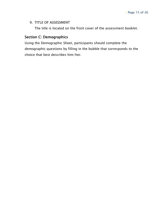#### 9. TITLE OF ASSESSMENT

The title is located on the front cover of the assessment booklet.

# Section C: Demographics

Using the Demographic Sheet, participants should complete the demographic questions by filling in the bubble that corresponds to the choice that best describes him/her.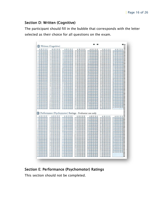## Section D: Written (Cognitive)

The participant should fill in the bubble that corresponds with the letter selected as their choice for all questions on the exam.

|                                     | <b>D</b> Written (Cognitive)                                                                                                                                                                                                                                                                                                                                                                                                                                      |                                          |                                                                                                                                                                                                                                                                                                                                                                                                                                                                                                                                                                                                                                                    |                                                                         |                                                                     |                                                                                                                                                                                                                                                                                                                                                                                                                                                                                                                                                                                                                                                                                                                                                                                                                                     |
|-------------------------------------|-------------------------------------------------------------------------------------------------------------------------------------------------------------------------------------------------------------------------------------------------------------------------------------------------------------------------------------------------------------------------------------------------------------------------------------------------------------------|------------------------------------------|----------------------------------------------------------------------------------------------------------------------------------------------------------------------------------------------------------------------------------------------------------------------------------------------------------------------------------------------------------------------------------------------------------------------------------------------------------------------------------------------------------------------------------------------------------------------------------------------------------------------------------------------------|-------------------------------------------------------------------------|---------------------------------------------------------------------|-------------------------------------------------------------------------------------------------------------------------------------------------------------------------------------------------------------------------------------------------------------------------------------------------------------------------------------------------------------------------------------------------------------------------------------------------------------------------------------------------------------------------------------------------------------------------------------------------------------------------------------------------------------------------------------------------------------------------------------------------------------------------------------------------------------------------------------|
| ABCDE<br>1. (A) (B) (C) (D) (E)<br> | ABCDE<br>44. (20 (E) (C) (E) (E)<br>41.0000000<br><b>M.000000</b><br><b>M.O.D.C.O.D</b>                                                                                                                                                                                                                                                                                                                                                                           | ABCDE<br><b>EQOOD</b><br>0.000000        | ABCDE<br>$\mathfrak{m} \, \textcircled{b} \, \textcircled{c} \, \textcircled{c}$<br>th (20 (3) (3) (3) (3)<br>11.0000000<br>$m$ ( $D$ $\oplus$ $D$ $\oplus$ $D$<br>$\begin{array}{l} 0.000000 \\ 0.000000 \\ \end{array}$                                                                                                                                                                                                                                                                                                                                                                                                                          | ABCDE<br>11.000000                                                      | ABCDE<br>216 (4) (4) (4) (4) (4)                                    | ABCDE<br>$\begin{smallmatrix} \texttt{1} & \texttt{2} & \texttt{3} & \texttt{4} & \texttt{5} & \texttt{6} & \texttt{8} \\ \texttt{3} & \texttt{4} & \texttt{5} & \texttt{6} & \texttt{8} & \texttt{8} & \texttt{8} & \texttt{8} & \texttt{8} \\ \texttt{4} & \texttt{5} & \texttt{6} & \texttt{6} & \texttt{6} & \texttt{6} & \texttt{6} & \texttt{6} & \texttt{6} & \texttt{6} \\ \texttt{6} & \texttt{6} & \texttt{6} & \texttt{6} & \texttt{$<br>22 4 4 4 4 4 5<br>38 (A) (D) (D) (D) (E)                                                                                                                                                                                                                                                                                                                                        |
|                                     | D Performance (Psychomotor) Ratings - Evaluator use only                                                                                                                                                                                                                                                                                                                                                                                                          |                                          |                                                                                                                                                                                                                                                                                                                                                                                                                                                                                                                                                                                                                                                    |                                                                         |                                                                     |                                                                                                                                                                                                                                                                                                                                                                                                                                                                                                                                                                                                                                                                                                                                                                                                                                     |
| ABCDE                               | $\begin{smallmatrix} \texttt{\# 5} & \texttt{\# 6} & \texttt{\# 5} & \texttt{\# 6} & \texttt{\# 6} & \texttt{\# 6} & \texttt{\# 6} & \texttt{\# 6} & \texttt{\# 6} & \texttt{\# 6} & \texttt{\# 6} & \texttt{\# 7} & \texttt{\# 8} & \texttt{\# 8} & \texttt{\# 8} & \texttt{\# 8} & \texttt{\# 8} & \texttt{\# 8} & \texttt{\# 8} & \texttt{\# 8} & \texttt{\# 8} & \texttt{\# 8} & \texttt{\# 8} & \texttt{\# 8$<br><b>17. 43 43 43 43 43</b><br><b>* 00000</b> | <b>** 40 40 40 40</b><br><b>17.00000</b> | A B C D E<br>$\begin{smallmatrix} \overline{\imath} & \overline{\imath} & \overline{\imath} & \overline{\imath} & \overline{\imath} & \overline{\imath} & \overline{\imath} & \overline{\imath} & \overline{\imath} & \overline{\imath} & \overline{\imath} & \overline{\imath} & \overline{\imath} & \overline{\imath} & \overline{\imath} & \overline{\imath} & \overline{\imath} & \overline{\imath} & \overline{\imath} & \overline{\imath} & \overline{\imath} & \overline{\imath} & \overline{\imath} & \overline{\imath} & \overline{\imath} & \overline{\imath} & \overline{\imath$<br>115 (5) (D) (C) (D) (D)<br>116. (A) (B) (C) (D) (E) | ABCDE<br>$\pi$ (a) (b) (c) (b)<br>18.0000000<br>145.(2) (3) (3) (3) (3) | ABCDE<br>148 40 40 40 40<br>147.000000<br>$174$ (4) (5) (5) (5) (1) | ABCDE<br>$\blacksquare\textcircled{1}\textcircled{2}\textcircled{2}\textcircled{1}$<br>175 (4) (6) (6) (6) (6)<br>$\blacksquare\hspace{0.05cm}\blacksquare\hspace{0.05cm}\blacksquare\hspace{0.05cm}\blacksquare\hspace{0.05cm}\blacksquare\hspace{0.05cm}\blacksquare\hspace{0.05cm}\blacksquare$<br>$\begin{smallmatrix} \texttt{  } \texttt{  } \texttt{  } \texttt{  } \texttt{  } \texttt{  } \texttt{  } \texttt{  } \texttt{  } \texttt{  } \texttt{  } \texttt{  } \texttt{  } \texttt{  } \texttt{  } \texttt{  } \texttt{  } \texttt{  } \texttt{  } \texttt{  } \texttt{  } \texttt{  } \texttt{  } \texttt{  } \texttt{  } \texttt{  } \texttt{  } \texttt{  } \texttt{  } \texttt{  } \texttt{  } \texttt{  } \texttt{  } \texttt{  } \texttt{  } \texttt{$<br>100 (20 (20 (2) (2) (and<br>200 (2) (3) (3) (3) (3) === |

# Section E: Performance (Psychomotor) Ratings

This section should not be completed.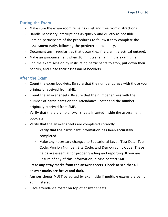# <span id="page-16-0"></span>During the Exam

- Make sure the exam room remains quiet and free from distractions.
- Handle necessary interruptions as quickly and quietly as possible.
- Remind participants of the procedures to follow if they complete the assessment early, following the predetermined policy.
- Document any irregularities that occur (i.e., fire alarm, electrical outage).
- Make an announcement when 30 minutes remain in the exam time.
- End the exam session by instructing participants to stop, put down their pencils, and close their assessment booklets.

## <span id="page-16-1"></span>After the Exam

- Count the exam booklets. Be sure that the number agrees with those you originally received from SME.
- Count the answer sheets. Be sure that the number agrees with the number of participants on the Attendance Roster and the number originally received from SME.
- Verify that there are no answer sheets inserted inside the assessment booklets.
- Verify that the answer sheets are completed correctly.
	- $\circ$  Verify that the participant information has been accurately completed.
	- o Make any necessary changes to Educational Level, Test Date, Test Code, Version Number, Site Code, and Demographic Code. These fields are essential for proper grading and reporting. If you are unsure of any of this information, please contact SME.
- Erase any stray marks from the answer sheets. Check to see that all answer marks are heavy and dark.
- Answer sheets MUST be sorted by exam title if multiple exams are being administered.
- Place attendance roster on top of answer sheets.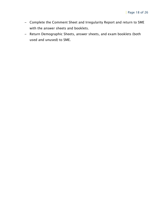- Complete the Comment Sheet and Irregularity Report and return to SME with the answer sheets and booklets.
- <span id="page-17-0"></span>– Return Demographic Sheets, answer sheets, and exam booklets (both used and unused) to SME.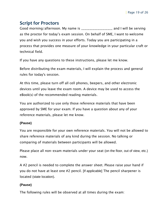# **Script for Proctors**

Good morning/afternoon. My name is \_\_\_\_\_\_\_\_\_\_\_\_\_\_\_\_\_\_\_ and I will be serving as the proctor for today's exam session. On behalf of SME, I want to welcome you and wish you success in your efforts. Today you are participating in a process that provides one measure of your knowledge in your particular craft or technical field.

If you have any questions to these instructions, please let me know.

Before distributing the exam materials, I will explain the process and general rules for today's session.

At this time, please turn off all cell phones, beepers, and other electronic devices until you leave the exam room. A device may be used to access the eBook(s) of the recommended reading materials.

You are authorized to use only those reference materials that have been approved by SME for your exam. If you have a question about any of your reference materials, please let me know.

#### **(Pause)**

You are responsible for your own reference materials. You will not be allowed to share reference materials of any kind during the session. No talking or comparing of materials between participants will be allowed.

Please place all non-exam materials under your seat (on the floor, out of view, etc.) now.

A #2 pencil is needed to complete the answer sheet. Please raise your hand if you do not have at least one #2 pencil. [If applicable] The pencil sharpener is located (state location).

#### **(Pause)**

The following rules will be observed at all times during the exam: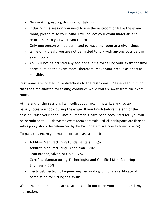- No smoking, eating, drinking, or talking.
- If during this session you need to use the restroom or leave the exam room, please raise your hand. I will collect your exam materials and return them to you when you return.
- Only one person will be permitted to leave the room at a given time.
- While on a break, you are not permitted to talk with anyone outside the exam room.
- You will not be granted any additional time for taking your exam for time spent outside the exam room; therefore, make your breaks as short as possible.

Restrooms are located (give directions to the restrooms). Please keep in mind that the time allotted for testing continues while you are away from the exam room.

At the end of the session, I will collect your exam materials and scrap paper/notes you took during the exam. If you finish before the end of the session, raise your hand. Once all materials have been accounted for, you will be permitted to . . . (leave the exam room or remain until all participants are finished —this policy should be determined by the Proctor/exam site prior to administration).

To pass this exam you must score at least a \_\_\_\_\_%.

- Additive Manufacturing Fundamentals 70%
- Additive Manufacturing Technician 70%
- Lean Bronze, Silver, or Gold 75%
- Certified Manufacturing Technologist and Certified Manufacturing Engineer - 60%
- Electrical/Electronic Engineering Technology (EET) is a certificate of completion for sitting the exam

When the exam materials are distributed, do not open your booklet until my instruction.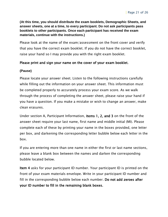**(At this time, you should distribute the exam booklets, Demographic Sheets, and answer sheets, one at a time, to every participant. Do not ask participants pass booklets to other participants. Once each participant has received the exam materials, continue with the instructions.)**

Please look at the name of the exam/assessment on the front cover and verify that you have the correct exam booklet. If you do not have the correct booklet, raise your hand so I may provide you with the right exam booklet.

#### Please print and sign your name on the cover of your exam booklet.

#### **(Pause)**

Please locate your answer sheet. Listen to the following instructions carefully while filling out the information on your answer sheet. This information must be completed properly to accurately process your exam score. As we walk through the process of completing the answer sheet, please raise your hand if you have a question. If you make a mistake or wish to change an answer, make clean erasures.

Under section A, Participant Information, items 1, 2, and 3 on the front of the answer sheet require your last name, first name and middle initial (MI). Please complete each of these by printing your name in the boxes provided, one letter per box, and darkening the corresponding letter bubble below each letter in the box.

If you are entering more than one name in either the first or last name sections, please leave a blank box between the names and darken the corresponding bubble located below.

Item 4 asks for your participant ID number. Your participant ID is printed on the front of your exam materials envelope. Write in your participant ID number and fill in the corresponding bubble below each number. Do not add zeroes after your ID number to fill in the remaining blank boxes.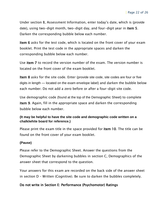Under section B, Assessment Information, enter today's date, which is (provide date), using two-digit month, two-digit day, and four-digit year in item 5. Darken the corresponding bubble below each number.

Item 6 asks for the test code, which is located on the front cover of your exam booklet. Print the test code in the appropriate spaces and darken the corresponding bubble below each number.

Use item 7 to record the version number of the exam. The version number is located on the front cover of the exam booklet.

Item 8 asks for the site code. Enter (provide site code, site codes are four or five digits in length — located on the exam envelope label) and darken the bubble below each number. Do not add a zero before or after a four-digit site code.

Use demographic code (found at the top of the Demographic Sheet) to complete item 9. Again, fill in the appropriate space and darken the corresponding bubble below each number.

#### **(It may be helpful to have the site code and demographic code written on a chalk/white board for reference.)**

Please print the exam title in the space provided for item 10. The title can be found on the front cover of your exam booklet.

#### **(Pause)**

Please refer to the Demographic Sheet. Answer the questions from the Demographic Sheet by darkening bubbles in section C, Demographics of the answer sheet that correspond to the question.

Your answers for this exam are recorded on the back side of the answer sheet in section D – Written (Cognitive). Be sure to darken the bubbles completely.

#### Do not write in Section E: Performance (Psychomotor) Ratings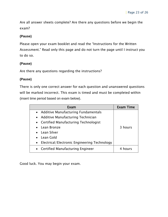Are all answer sheets complete? Are there any questions before we begin the exam?

#### **(Pause)**

Please open your exam booklet and read the "Instructions for the Written Assessment." Read only this page and do not turn the page until I instruct you to do so.

#### **(Pause)**

Are there any questions regarding the instructions?

#### **(Pause)**

There is only one correct answer for each question and unanswered questions will be marked incorrect. This exam is timed and must be completed within (insert time period based on exam below).

| Exam                                                      | <b>Exam Time</b> |
|-----------------------------------------------------------|------------------|
| • Additive Manufacturing Fundamentals                     |                  |
| • Additive Manufacturing Technician                       |                  |
| • Certified Manufacturing Technologist                    |                  |
| • Lean Bronze                                             | 3 hours          |
| • Lean Silver                                             |                  |
| Lean Gold                                                 |                  |
| Electrical/Electronic Engineering Technology<br>$\bullet$ |                  |
| • Certified Manufacturing Engineer                        | hours            |

Good luck. You may begin your exam.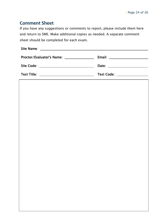# <span id="page-23-0"></span>**Comment Sheet**

If you have any suggestions or comments to report, please include them here and return to SME. Make additional copies as needed. A separate comment sheet should be completed for each exam.

| Site Name:<br><u> 1989 - Johann Stein, fransk politik (d. 1989)</u>                                                                                                                                                                                       |                               |
|-----------------------------------------------------------------------------------------------------------------------------------------------------------------------------------------------------------------------------------------------------------|-------------------------------|
| <b>Proctor/Evaluator's Name:</b>                                                                                                                                                                                                                          |                               |
| <b>Site Code:</b><br><u>and the contract of the contract of the contract of the contract of the contract of the contract of the contract of the contract of the contract of the contract of the contract of the contract of the contract of the contr</u> | Date: _______________________ |
| <b>Test Title:</b>                                                                                                                                                                                                                                        | Test Code: __________________ |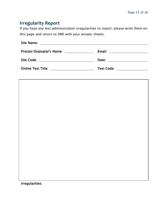# <span id="page-24-0"></span>**Irregularity Report**

If you have any test administration irregularities to report, please write them on this page and return to SME with your answer sheets.

| Site Name:<br><u> Alexandria de la contrada de la contrada de la contrada de la contrada de la contrada de la contrada de la c</u> |                                  |  |  |
|------------------------------------------------------------------------------------------------------------------------------------|----------------------------------|--|--|
|                                                                                                                                    | Email: _______________________   |  |  |
| Site Code: _____________________________                                                                                           |                                  |  |  |
| <b>Online Test Title:</b>                                                                                                          | Test Code: <u>______________</u> |  |  |

Irregularities: